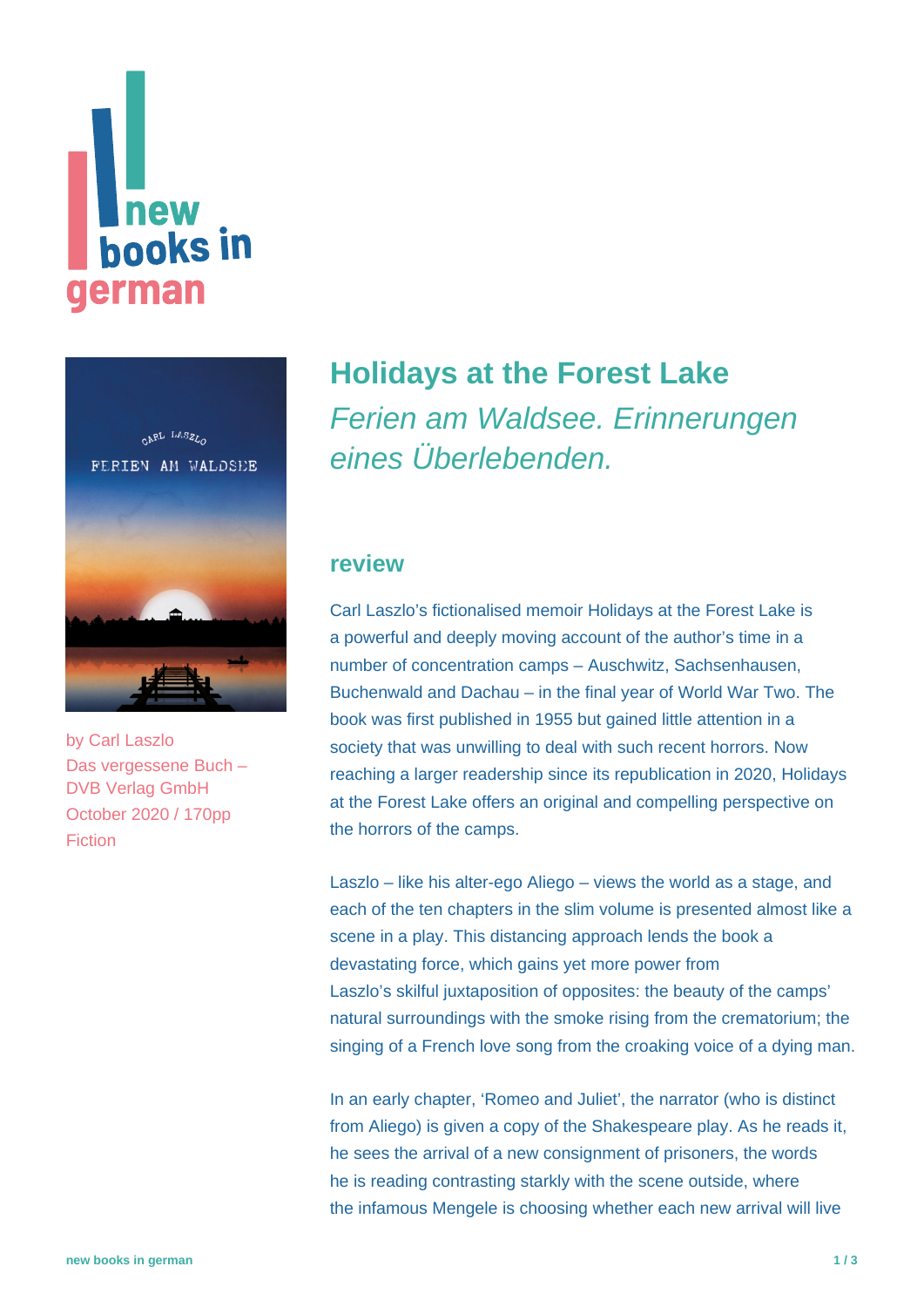# **Thew<br>books in** german



by [Carl Laszlo](https://www.new-books-in-german.com/recommendations/?searchInput=Carl%20Laszlo) Das vergessene Buch – DVB Verlag GmbH October 2020 / 170pp Fiction

# **[Holidays at the Forest Lake](https://www.new-books-in-german.com/recommendations/holidays-at-the-forest-lake/)** Ferien am Waldsee. Erinnerungen eines Überlebenden.

## **review**

Carl Laszlo's fictionalised memoir Holidays at the Forest Lake is a powerful and deeply moving account of the author's time in a number of concentration camps – Auschwitz, Sachsenhausen, Buchenwald and Dachau – in the final year of World War Two. The book was first published in 1955 but gained little attention in a society that was unwilling to deal with such recent horrors. Now reaching a larger readership since its republication in 2020, Holidays at the Forest Lake offers an original and compelling perspective on the horrors of the camps.

Laszlo – like his alter-ego Aliego – views the world as a stage, and each of the ten chapters in the slim volume is presented almost like a scene in a play. This distancing approach lends the book a devastating force, which gains yet more power from Laszlo's skilful juxtaposition of opposites: the beauty of the camps' natural surroundings with the smoke rising from the crematorium; the singing of a French love song from the croaking voice of a dying man.

In an early chapter, 'Romeo and Juliet', the narrator (who is distinct from Aliego) is given a copy of the Shakespeare play. As he reads it, he sees the arrival of a new consignment of prisoners, the words he is reading contrasting starkly with the scene outside, where the infamous Mengele is choosing whether each new arrival will live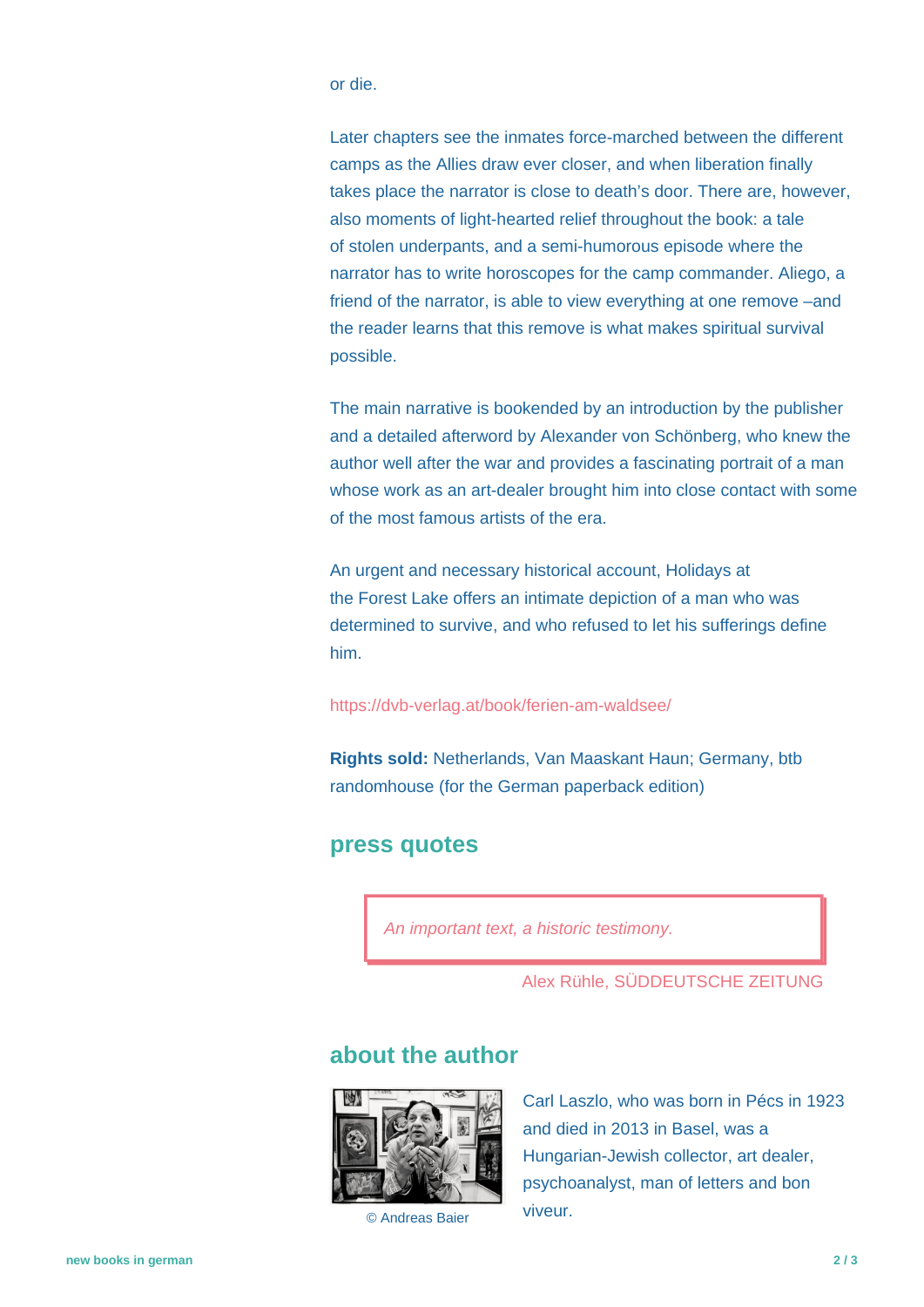or die.

Later chapters see the inmates force-marched between the different camps as the Allies draw ever closer, and when liberation finally takes place the narrator is close to death's door. There are, however, also moments of light-hearted relief throughout the book: a tale of stolen underpants, and a semi-humorous episode where the narrator has to write horoscopes for the camp commander. Aliego, a friend of the narrator, is able to view everything at one remove –and the reader learns that this remove is what makes spiritual survival possible.

The main narrative is bookended by an introduction by the publisher and a detailed afterword by Alexander von Schönberg, who knew the author well after the war and provides a fascinating portrait of a man whose work as an art-dealer brought him into close contact with some of the most famous artists of the era.

An urgent and necessary historical account, Holidays at the Forest Lake offers an intimate depiction of a man who was determined to survive, and who refused to let his sufferings define him.

#### <https://dvb-verlag.at/book/ferien-am-waldsee/>

**Rights sold:** Netherlands, Van Maaskant Haun; Germany, btb randomhouse (for the German paperback edition)

### **press quotes**

An important text, a historic testimony.

Alex Rühle, SÜDDEUTSCHE ZEITUNG

# **about the author**



© Andreas Baier

Carl Laszlo, who was born in Pécs in 1923 and died in 2013 in Basel, was a Hungarian-Jewish collector, art dealer, psychoanalyst, man of letters and bon viveur.